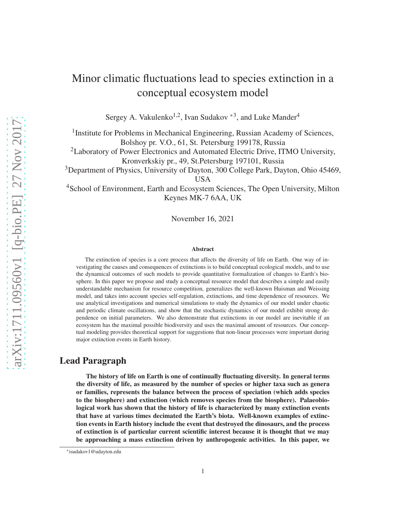# Minor climatic fluctuations lead to species extinction in a conceptual ecosystem model

Sergey A. Vakulenko<sup>1,2</sup>, Ivan Sudakov<sup>\*3</sup>, and Luke Mander<sup>4</sup>

<sup>1</sup> Institute for Problems in Mechanical Engineering, Russian Academy of Sciences, Bolshoy pr. V.O., 61, St. Petersburg 199178, Russia

<sup>2</sup>Laboratory of Power Electronics and Automated Electric Drive, ITMO University, Kronverkskiy pr., 49, St.Petersburg 197101, Russia

<sup>3</sup>Department of Physics, University of Dayton, 300 College Park, Dayton, Ohio 45469, USA

<sup>4</sup>School of Environment, Earth and Ecosystem Sciences, The Open University, Milton Keynes MK-7 6AA, UK

November 16, 2021

#### Abstract

The extinction of species is a core process that affects the diversity of life on Earth. One way of investigating the causes and consequences of extinctions is to build conceptual ecological models, and to use the dynamical outcomes of such models to provide quantitative formalization of changes to Earth's biosphere. In this paper we propose and study a conceptual resource model that describes a simple and easily understandable mechanism for resource competition, generalizes the well-known Huisman and Weissing model, and takes into account species self-regulation, extinctions, and time dependence of resources. We use analytical investigations and numerical simulations to study the dynamics of our model under chaotic and periodic climate oscillations, and show that the stochastic dynamics of our model exhibit strong dependence on initial parameters. We also demonstrate that extinctions in our model are inevitable if an ecosystem has the maximal possible biodiversity and uses the maximal amount of resources. Our conceptual modeling provides theoretical support for suggestions that non-linear processes were important during major extinction events in Earth history.

## Lead Paragraph

The history of life on Earth is one of continually fluctuating diversity. In general terms the diversity of life, as measured by the number of species or higher taxa such as genera or families, represents the balance between the process of speciation (which adds species to the biosphere) and extinction (which removes species from the biosphere). Palaeobiological work has shown that the history of life is characterized by many extinction events that have at various times decimated the Earth's biota. Well-known examples of extinction events in Earth history include the event that destroyed the dinosaurs, and the process of extinction is of particular current scientific interest because it is thought that we may be approaching a mass extinction driven by anthropogenic activities. In this paper, we

<sup>∗</sup> isudakov1@udayton.edu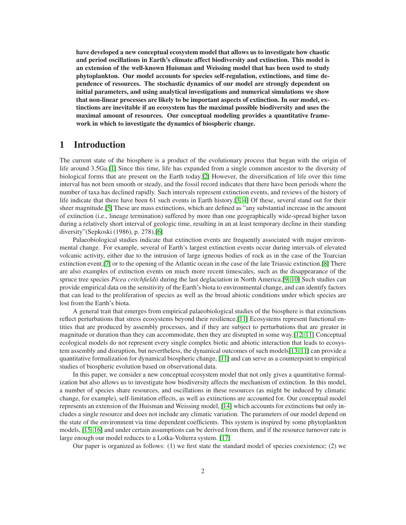have developed a new conceptual ecosystem model that allows us to investigate how chaotic and period oscillations in Earth's climate affect biodiversity and extinction. This model is an extension of the well-known Huisman and Weissing model that has been used to study phytoplankton. Our model accounts for species self-regulation, extinctions, and time dependence of resources. The stochastic dynamics of our model are strongly dependent on initial parameters, and using analytical investigations and numerical simulations we show that non-linear processes are likely to be important aspects of extinction. In our model, extinctions are inevitable if an ecosystem has the maximal possible biodiversity and uses the maximal amount of resources. Our conceptual modeling provides a quantitative framework in which to investigate the dynamics of biospheric change.

## 1 Introduction

The current state of the biosphere is a product of the evolutionary process that began with the origin of life around 3.5Ga.[\[1\]](#page-8-0) Since this time, life has expanded from a single common ancestor to the diversity of biological forms that are present on the Earth today.[\[2\]](#page-8-1) However, the diversification of life over this time interval has not been smooth or steady, and the fossil record indicates that there have been periods where the number of taxa has declined rapidly. Such intervals represent extinction events, and reviews of the history of life indicate that there have been 61 such events in Earth history.[\[3,](#page-8-2) [4\]](#page-8-3) Of these, several stand out for their sheer magnitude.[\[5\]](#page-8-4) These are mass extinctions, which are defined as "any substantial increase in the amount of extinction (i.e., lineage termination) suffered by more than one geographically wide-spread higher taxon during a relatively short interval of geologic time, resulting in an at least temporary decline in their standing diversity"(Sepkoski (1986), p. 278).[\[6\]](#page-8-5)

Palaeobiological studies indicate that extinction events are frequently associated with major environmental change. For example, several of Earth's largest extinction events occur during intervals of elevated volcanic activity, either due to the intrusion of large igneous bodies of rock as in the case of the Toarcian extinction event,[\[7\]](#page-8-6) or to the opening of the Atlantic ocean in the case of the late Triassic extinction.[\[8\]](#page-8-7) There are also examples of extinction events on much more recent timescales, such as the disappearance of the spruce tree species *Picea critchfieldii* during the last deglaciation in North America.[\[9,](#page-8-8) [10\]](#page-8-9) Such studies can provide empirical data on the sensitivity of the Earth's biota to environmental change, and can identify factors that can lead to the proliferation of species as well as the broad abiotic conditions under which species are lost from the Earth's biota.

A general trait that emerges from empirical palaeobiological studies of the biosphere is that extinctions reflect perturbations that stress ecosystems beyond their resilience.[\[11\]](#page-9-0) Ecosystems represent functional entities that are produced by assembly processes, and if they are subject to perturbations that are greater in magnitude or duration than they can accommodate, then they are disrupted in some way.[\[12,](#page-9-1) [11\]](#page-9-0) Conceptual ecological models do not represent every single complex biotic and abiotic interaction that leads to ecosystem assembly and disruption, but nevertheless, the dynamical outcomes of such models[\[13,](#page-9-2) [11\]](#page-9-0) can provide a quantitative formalization for dynamical biospheric change, [\[11\]](#page-9-0) and can serve as a counterpoint to empirical studies of biospheric evolution based on observational data.

In this paper, we consider a new conceptual ecosystem model that not only gives a quantitative formalization but also allows us to investigate how biodiversity affects the mechanism of extinction. In this model, a number of species share resources, and oscillations in these resources (as might be induced by climatic change, for example), self-limitation effects, as well as extinctions are accounted for. Our conceptual model represents an extension of the Huisman and Weissing model, [\[14\]](#page-9-3) which accounts for extinctions but only includes a single resource and does not include any climatic variation. The parameters of our model depend on the state of the environment via time dependent coefficients. This system is inspired by some phytoplankton models, [\[15,](#page-9-4) [16\]](#page-9-5) and under certain assumptions can be derived from them, and if the resource turnover rate is large enough our model reduces to a Lotka-Volterra system. [\[17\]](#page-9-6)

Our paper is organized as follows: (1) we first state the standard model of species coexistence; (2) we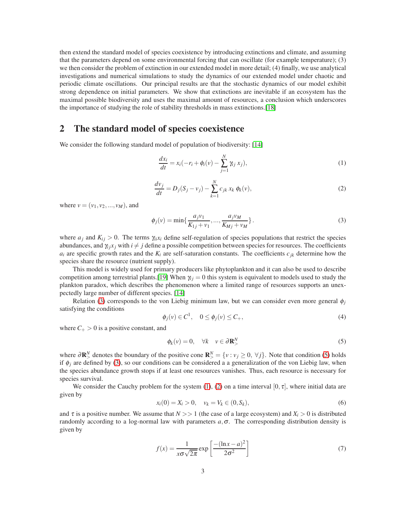then extend the standard model of species coexistence by introducing extinctions and climate, and assuming that the parameters depend on some environmental forcing that can oscillate (for example temperature); (3) we then consider the problem of extinction in our extended model in more detail; (4) finally, we use analytical investigations and numerical simulations to study the dynamics of our extended model under chaotic and periodic climate oscillations. Our principal results are that the stochastic dynamics of our model exhibit strong dependence on initial parameters. We show that extinctions are inevitable if an ecosystem has the maximal possible biodiversity and uses the maximal amount of resources, a conclusion which underscores the importance of studying the role of stability thresholds in mass extinctions.[\[18\]](#page-9-7)

## 2 The standard model of species coexistence

We consider the following standard model of population of biodiversity: [\[14\]](#page-9-3)

<span id="page-2-2"></span>
$$
\frac{dx_i}{dt} = x_i(-r_i + \phi_i(v) - \sum_{j=1}^{N} \gamma_{ij} x_j),
$$
\n(1)

<span id="page-2-3"></span>
$$
\frac{dv_j}{dt} = D_j(S_j - v_j) - \sum_{k=1}^{N} c_{jk} x_k \phi_k(v),
$$
\n(2)

where  $v = (v_1, v_2, ..., v_M)$ , and

<span id="page-2-0"></span>
$$
\phi_j(v) = \min\{\frac{a_j v_1}{K_{1j} + v_1}, \dots, \frac{a_j v_M}{K_{Mj} + v_M}\}.
$$
\n(3)

where  $a_i$  and  $K_{ii} > 0$ . The terms  $\gamma_{ii}x_i$  define self-regulation of species populations that restrict the species abundances, and  $\gamma_{i j} x_j$  with  $i \neq j$  define a possible competition between species for resources. The coefficients  $a_i$  are specific growth rates and the  $K_i$  are self-saturation constants. The coefficients  $c_{ik}$  determine how the species share the resource (nutrient supply).

This model is widely used for primary producers like phytoplankton and it can also be used to describe competition among terrestrial plants.<sup>[\[19\]](#page-9-8)</sup> When  $\gamma_i = 0$  this system is equivalent to models used to study the plankton paradox, which describes the phenomenon where a limited range of resources supports an unexpectedly large number of different species. [\[14\]](#page-9-3)

Relation [\(3\)](#page-2-0) corresponds to the von Liebig minimum law, but we can consider even more general  $\phi_i$ satisfying the conditions

$$
\phi_j(v) \in C^1, \quad 0 \le \phi_j(v) \le C_+, \tag{4}
$$

where  $C_+ > 0$  is a positive constant, and

<span id="page-2-1"></span>
$$
\phi_k(v) = 0, \quad \forall k \quad v \in \partial \mathbf{R}^N_>
$$

where  $\partial \mathbf{R}^N$  denotes the boundary of the positive cone  $\mathbf{R}^N > \{v : v_j \ge 0, \forall j\}$ . Note that condition [\(5\)](#page-2-1) holds if  $\phi_j$  are defined by [\(3\)](#page-2-0), so our conditions can be considered a a generalization of the von Liebig law, when the species abundance growth stops if at least one resources vanishes. Thus, each resource is necessary for species survival.

We consider the Cauchy problem for the system [\(1\)](#page-2-2), [\(2\)](#page-2-3) on a time interval [0,  $\tau$ ], where initial data are given by

<span id="page-2-4"></span>
$$
x_i(0) = X_i > 0, \quad v_k = V_k \in (0, S_k),
$$
\n(6)

and  $\tau$  is a positive number. We assume that  $N >> 1$  (the case of a large ecosystem) and  $X_i > 0$  is distributed randomly according to a log-normal law with parameters  $a, \sigma$ . The corresponding distribution density is given by

$$
f(x) = \frac{1}{x\sigma\sqrt{2\pi}} \exp\left[\frac{-(\ln x - a)^2}{2\sigma^2}\right]
$$
 (7)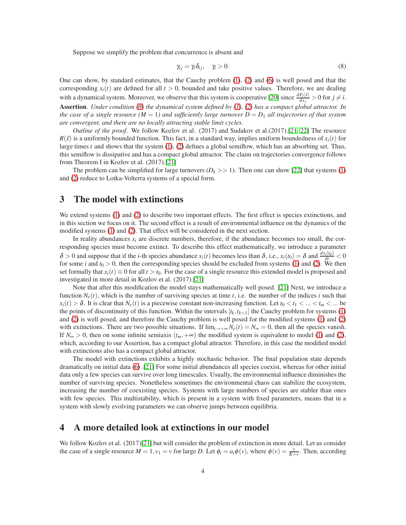Suppose we simplify the problem that concurrence is absent and

<span id="page-3-0"></span>
$$
\gamma_{ij} = \gamma_i \delta_{ij}, \quad \gamma_i > 0. \tag{8}
$$

One can show, by standard estimates, that the Cauchy problem [\(1\)](#page-2-2), [\(2\)](#page-2-3) and [\(6\)](#page-2-4) is well posed and that the corresponding  $x_i(t)$  are defined for all  $t > 0$ , bounded and take positive values. Therefore, we are dealing with a dynamical system. Moreover, we observe that this system is cooperative [\[20\]](#page-9-9) since  $\frac{\partial F_i(\vec{x})}{\partial x_j} > 0$  for  $j \neq i$ . Assertion. *Under condition [\(8\)](#page-3-0) the dynamical system defined by [\(1\)](#page-2-2), [\(2\)](#page-2-3) has a compact global attractor. In the case of a single resource*  $(M = 1)$  and sufficiently large turnover  $D = D_1$  all trajectories of that system *are convergent, and there are no locally attracting stable limit cycles*.

*Outline of the proof*. We follow Kozlov et al. (2017) and Sudakov et al.(2017).[\[21,](#page-9-10) [22\]](#page-9-11) The resource  $R(\vec{x})$  is a uniformly bounded function. This fact, in a standard way, implies uniform boundedness of  $x_i(t)$  for large times *t* and shows that the system [\(1\)](#page-2-2), [\(2\)](#page-2-3) defines a global semiflow, which has an absorbing set. Thus, this semiflow is dissipative and has a compact global attractor. The claim on trajectories convergence follows from Theorem I in Kozlov et al. (2017).[\[21\]](#page-9-10)

The problem can be simplified for large turnovers  $(D_k \gg 1)$ . Then one can show [\[22\]](#page-9-11) that systems [\(1\)](#page-2-2) and [\(2\)](#page-2-3) reduce to Lotka-Volterra systems of a special form.

## 3 The model with extinctions

We extend systems [\(1\)](#page-2-2) and [\(2\)](#page-2-3) to describe two important effects. The first effect is species extinctions, and in this section we focus on it. The second effect is a result of environmental influence on the dynamics of the modified systems [\(1\)](#page-2-2) and [\(2\)](#page-2-3). That effect will be considered in the next section.

In reality abundances  $x_i$  are discrete numbers, therefore, if the abundance becomes too small, the corresponding species must become extinct. To describe this effect mathematically, we introduce a parameter  $\delta > 0$  and suppose that if the *i*-th species abundance  $x_i(t)$  becomes less than  $\delta$ , i.e.,  $x_i(t_0) = \delta$  and  $\frac{dx_i(t_0)}{dt} < 0$ for some *i* and  $t_0 > 0$ , then the corresponding species should be excluded from systems [\(1\)](#page-2-2) and [\(2\)](#page-2-3). We then set formally that  $x_i(t) \equiv 0$  for all  $t > t_0$ . For the case of a single resource this extended model is proposed and investigated in more detail in Kozlov et al. (2017).[\[21\]](#page-9-10)

Note that after this modification the model stays mathematically well posed. [\[21\]](#page-9-10) Next, we introduce a function  $N_e(t)$ , which is the number of surviving species at time t, i.e. the number of the indices i such that  $x_i(t) > \delta$ . It is clear that  $N_e(t)$  is a piecewise constant non-increasing function. Let  $t_0 < t_1 < ... < t_m < ...$  be the points of discontinuity of this function. Within the intervals  $[t_k, t_{k+1}]$  the Cauchy problem for systems [\(1\)](#page-2-2) and [\(2\)](#page-2-3) is well posed, and therefore the Cauchy problem is well posed for the modified systems [\(1\)](#page-2-2) and [\(2\)](#page-2-3) with extinctions. There are two possible situations. If  $\lim_{t\to+\infty} N_e(t) = N_\infty = 0$ , then all the species vanish. If  $N_{\infty} > 0$ , then on some infinite semiaxis  $(t_m, +\infty)$  the modified system is equivalent to model [\(1\)](#page-2-2) and [\(2\)](#page-2-3), which, according to our Assertion, has a compact global attractor. Therefore, in this case the modified model with extinctions also has a compact global attractor.

The model with extinctions exhibits a highly stochastic behavior. The final population state depends dramatically on initial data [\(6\)](#page-2-4) .[\[21\]](#page-9-10) For some initial abundances all species coexist, whereas for other initial data only a few species can survive over long timescales. Usually, the environmental influence diminishes the number of surviving species. Nonetheless sometimes the environmental chaos can stabilize the ecosystem, increasing the number of coexisting species. Systems with large numbers of species are stabler than ones with few species. This multistability, which is present in a system with fixed parameters, means that in a system with slowly evolving parameters we can observe jumps between equilibria.

#### 4 A more detailed look at extinctions in our model

We follow Kozlov et al. (2017)[\[21\]](#page-9-10) but will consider the problem of extinction in more detail. Let us consider the case of a single resource  $M = 1$ ,  $v_1 = v$  for large *D*. Let  $\phi_i = a_i \phi(v)$ , where  $\phi(v) = \frac{v}{K+v}$ . Then, according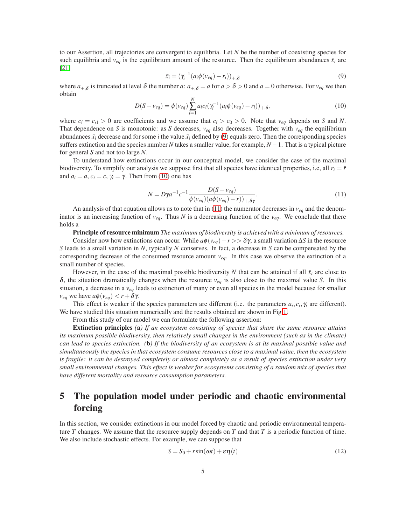to our Assertion, all trajectories are convergent to equilibria. Let *N* be the number of coexisting species for such equilibria and  $v_{eq}$  is the equilibrium amount of the resource. Then the equilibrium abundances  $\bar{x}_i$  are [\[21\]](#page-9-10)

<span id="page-4-0"></span>
$$
\bar{x}_i = (\gamma_i^{-1}(a_i \phi(v_{eq}) - r_i))_{+,\delta} \tag{9}
$$

where  $a_{+,\delta}$  is truncated at level  $\delta$  the number  $a: a_{+,\delta} = a$  for  $a > \delta > 0$  and  $a = 0$  otherwise. For  $v_{eq}$  we then obtain *N*

<span id="page-4-1"></span>
$$
D(S - v_{eq}) = \phi(v_{eq}) \sum_{i=1}^{N} a_i c_i (\gamma_i^{-1} (a_i \phi(v_{eq}) - r_i))_{+, \delta},
$$
\n(10)

where  $c_i = c_{i1} > 0$  are coefficients and we assume that  $c_i > c_0 > 0$ . Note that  $v_{eq}$  depends on *S* and *N*. That dependence on *S* is monotonic: as *S* decreases,  $v_{eq}$  also decreases. Together with  $v_{eq}$  the equilibrium abundances  $\bar{x}_i$  decrease and for some *i* the value  $\bar{x}_i$  defined by [\(9\)](#page-4-0) equals zero. Then the corresponding species suffers extinction and the species number *N* takes a smaller value, for example, *N* −1. That is a typical picture for general *S* and not too large *N*.

To understand how extinctions occur in our conceptual model, we consider the case of the maximal biodiversity. To simplify our analysis we suppose first that all species have identical properties, i.e, all  $r_i = \bar{r}$ and  $a_i = a$ ,  $c_i = c$ ,  $\gamma_i = \gamma$ . Then from [\(10\)](#page-4-1) one has

<span id="page-4-2"></span>
$$
N = D\gamma a^{-1} c^{-1} \frac{D(S - v_{eq})}{\phi(v_{eq})(a\phi(v_{eq}) - r))_{+, \delta\gamma}}.
$$
\n
$$
(11)
$$

An analysis of that equation allows us to note that in [\(11\)](#page-4-2) the numerator decreases in *veq* and the denominator is an increasing function of  $v_{eq}$ . Thus N is a decreasing function of the  $v_{eq}$ . We conclude that there holds a

Principle of resource minimum *The maximum of biodiversity is achieved with a minimum of resources.*

Consider now how extinctions can occur. While  $a\phi(v_{eq}) - r \gg \delta \gamma$ , a small variation  $\Delta S$  in the resource *S* leads to a small variation in *N*, typically *N* conserves. In fact, a decrease in *S* can be compensated by the corresponding decrease of the consumed resource amount  $v_{eq}$ . In this case we observe the extinction of a small number of species.

However, in the case of the maximal possible biodiversity *N* that can be attained if all  $\bar{x}_i$  are close to <sup>δ</sup>, the situation dramatically changes when the resource *veq* is also close to the maximal value *S*. In this situation, a decrease in a *veq* leads to extinction of many or even all species in the model because for smaller *v*<sub>eq</sub> we have  $a\phi(v_{eq}) < r + \delta \gamma$ .

This effect is weaker if the species parameters are different (i.e. the parameters  $a_i, c_i, \gamma_i$  are different). We have studied this situation numerically and the results obtained are shown in Fig[.1.](#page-5-0)

From this study of our model we can formulate the following assertion:

Extinction principles *(*a*) If an ecosystem consisting of species that share the same resource attains its maximum possible biodiversity, then relatively small changes in the environment (such as in the climate) can lead to species extinction. (*b*) If the biodiversity of an ecosystem is at its maximal possible value and simultaneously the species in that ecosystem consume resources close to a maximal value, then the ecosystem is fragile: it can be destroyed completely or almost completely as a result of species extinction under very small environmental changes. This effect is weaker for ecosystems consisting of a random mix of species that have different mortality and resource consumption parameters.*

# 5 The population model under periodic and chaotic environmental forcing

In this section, we consider extinctions in our model forced by chaotic and periodic environmental temperature *T* changes. We assume that the resource supply depends on *T* and that *T* is a periodic function of time. We also include stochastic effects. For example, we can suppose that

<span id="page-4-3"></span>
$$
S = S_0 + r\sin(\omega t) + \varepsilon \eta(t) \tag{12}
$$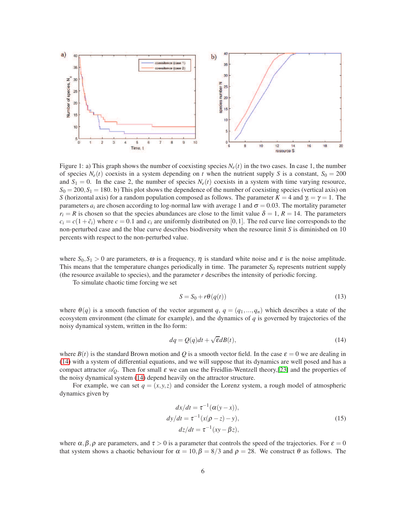<span id="page-5-0"></span>

Figure 1: a) This graph shows the number of coexisting species  $N_e(t)$  in the two cases. In case 1, the number of species  $N_e(t)$  coexists in a system depending on t when the nutrient supply *S* is a constant,  $S_0 = 200$ and  $S_1 = 0$ . In the case 2, the number of species  $N_e(t)$  coexists in a system with time varying resource,  $S_0 = 200, S_1 = 180$ . b) This plot shows the dependence of the number of coexisting species (vertical axis) on *S* (horizontal axis) for a random population composed as follows. The parameter  $K = 4$  and  $\gamma_i = \gamma = 1$ . The parameters  $a_i$  are chosen according to log-normal law with average 1 and  $\sigma = 0.03$ . The mortality parameter  $r_i = R$  is chosen so that the species abundances are close to the limit value  $\delta = 1$ ,  $R = 14$ . The parameters  $c_i = c(1 + \tilde{c}_i)$  where  $c = 0.1$  and  $c_i$  are uniformly distributed on [0,1]. The red curve line corresponds to the non-perturbed case and the blue curve describes biodiversity when the resource limit *S* is diminished on 10 percents with respect to the non-perturbed value.

where  $S_0, S_1 > 0$  are parameters,  $\omega$  is a frequency,  $\eta$  is standard white noise and  $\varepsilon$  is the noise amplitude. This means that the temperature changes periodically in time. The parameter  $S_0$  represents nutrient supply (the resource available to species), and the parameter  $r$  describes the intensity of periodic forcing.

To simulate chaotic time forcing we set

<span id="page-5-3"></span>
$$
S = S_0 + r\theta(q(t))\tag{13}
$$

where  $\theta(q)$  is a smooth function of the vector argument  $q$ ,  $q = (q_1, ..., q_n)$  which describes a state of the ecosystem environment (the climate for example), and the dynamics of *q* is governed by trajectories of the noisy dynamical system, written in the Ito form:

<span id="page-5-1"></span>
$$
dq = Q(q)dt + \sqrt{\varepsilon}dB(t),
$$
\n(14)

where  $B(t)$  is the standard Brown motion and Q is a smooth vector field. In the case  $\varepsilon = 0$  we are dealing in [\(14\)](#page-5-1) with a system of differential equations, and we will suppose that its dynamics are well posed and has a compact attractor  $\mathscr{A}_0$ . Then for small  $\varepsilon$  we can use the Freidlin-Wentzell theory, [\[23\]](#page-9-12) and the properties of the noisy dynamical system [\(14\)](#page-5-1) depend heavily on the attractor structure.

For example, we can set  $q = (x, y, z)$  and consider the Lorenz system, a rough model of atmospheric dynamics given by

$$
dx/dt = \tau^{-1}(\alpha(y - x)),
$$
  
\n
$$
dy/dt = \tau^{-1}(x(\rho - z) - y),
$$
  
\n
$$
dz/dt = \tau^{-1}(xy - \beta z),
$$
\n(15)

<span id="page-5-2"></span>where  $\alpha, \beta, \rho$  are parameters, and  $\tau > 0$  is a parameter that controls the speed of the trajectories. For  $\varepsilon = 0$ that system shows a chaotic behaviour for  $\alpha = 10, \beta = 8/3$  and  $\rho = 28$ . We construct  $\theta$  as follows. The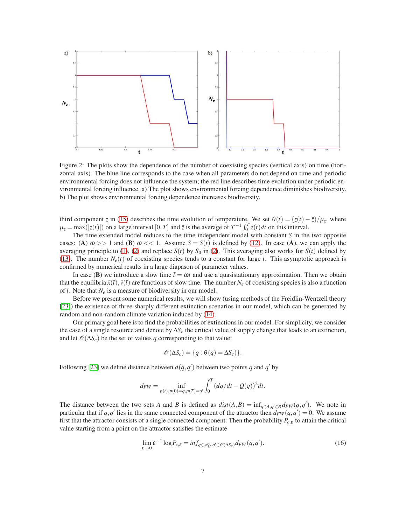<span id="page-6-0"></span>

Figure 2: The plots show the dependence of the number of coexisting species (vertical axis) on time (horizontal axis). The blue line corresponds to the case when all parameters do not depend on time and periodic environmental forcing does not influence the system; the red line describes time evolution under periodic environmental forcing influence. a) The plot shows environmental forcing dependence diminishes biodiversity. b) The plot shows environmental forcing dependence increases biodiversity.

third component *z* in [\(15\)](#page-5-2) describes the time evolution of temperature. We set  $\theta(t) = (z(t) - \bar{z})/\mu_z$ , where  $\mu_z = \max(|z(t)|)$  on a large interval [0,*T*] and  $\bar{z}$  is the average of  $T^{-1} \int_0^T z(t) dt$  on this interval.

The time extended model reduces to the time independent model with constant *S* in the two opposite cases: (A)  $\omega$  >> 1 and (B)  $\omega$  << 1. Assume  $S = S(t)$  is defined by [\(12\)](#page-4-3). In case (A), we can apply the averaging principle to [\(1\)](#page-2-2), [\(2\)](#page-2-3) and replace  $S(t)$  by  $S_0$  in (2). This averaging also works for  $S(t)$  defined by [\(13\)](#page-5-3). The number  $N_e(t)$  of coexisting species tends to a constant for large *t*. This asymptotic approach is confirmed by numerical results in a large diapason of parameter values.

In case (B) we introduce a slow time  $\bar{t} = \omega t$  and use a quasistationary approximation. Then we obtain that the equilibria  $\bar{x}(t), \bar{y}(t)$  are functions of slow time. The number  $N_e$  of coexisting species is also a function of  $\bar{t}$ . Note that  $N_e$  is a measure of biodiversity in our model.

Before we present some numerical results, we will show (using methods of the Freidlin-Wentzell theory [\[23\]](#page-9-12)) the existence of three sharply different extinction scenarios in our model, which can be generated by random and non-random climate variation induced by [\(14\)](#page-5-1).

Our primary goal here is to find the probabilities of extinctions in our model. For simplicity, we consider the case of a single resource and denote by ∆*S<sup>c</sup>* the critical value of supply change that leads to an extinction, and let  $\mathcal{O}(\Delta S_c)$  be the set of values *q* corresponding to that value:

$$
\mathscr{O}(\Delta S_c) = \{q : \theta(q) = \Delta S_c)\}.
$$

Following [\[23\]](#page-9-12) we define distance between  $d(q, q')$  between two points *q* and *q'* by

$$
d_{FW} = \inf_{p(t), p(0) = q, p(T) = q'} \int_0^T (dq/dt - Q(q))^2 dt.
$$

The distance between the two sets *A* and *B* is defined as  $dist(A, B) = inf_{q \in A, q' \in B} d_{FW}(q, q')$ . We note in particular that if  $q$ ,  $q'$  lies in the same connected component of the attractor then  $d_{FW}(q, q') = 0$ . We assume first that the attractor consists of a single connected component. Then the probability *Pc*,<sup>ε</sup> to attain the critical value starting from a point on the attractor satisfies the estimate

$$
\lim_{\varepsilon \to 0} \varepsilon^{-1} \log P_{c,\varepsilon} = \inf_{q \in \mathscr{A}_{Q}, q' \in \mathscr{O}(\Delta S_{c})} d_{FW}(q, q'). \tag{16}
$$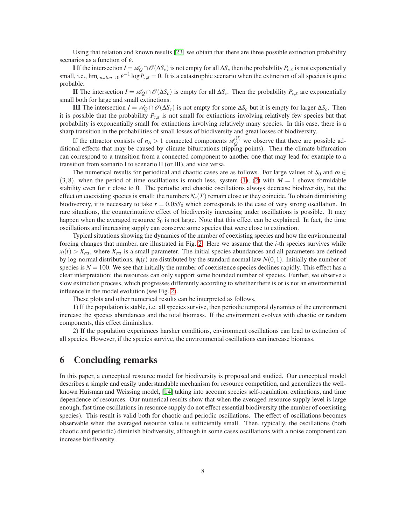Using that relation and known results [\[23\]](#page-9-12) we obtain that there are three possible extinction probability scenarios as a function of  $\varepsilon$ .

I If the intersection  $I = \mathscr{A}_O \cap \mathscr{O}(\Delta S_c)$  is not empty for all  $\Delta S_c$  then the probability  $P_{c,\varepsilon}$  is not exponentially small, i.e.,  $\lim_{epsilon \to 0} \varepsilon^{-1} \log P_{c,\varepsilon} = 0$ . It is a catastrophic scenario when the extinction of all species is quite probable.

II The intersection  $I = \mathscr{A}_Q \cap \mathscr{O}(\Delta S_c)$  is empty for all  $\Delta S_c$ . Then the probability  $P_{c,\varepsilon}$  are exponentially small both for large and small extinctions.

III The intersection *I* =  $\mathscr{A}_O \cap \mathscr{O}(\Delta S_c)$  is not empty for some  $\Delta S_c$  but it is empty for larger  $\Delta S_c$ . Then it is possible that the probability  $P_{c,\varepsilon}$  is not small for extinctions involving relatively few species but that probability is exponentially small for extinctions involving relatively many species. In this case, there is a sharp transition in the probabilities of small losses of biodiversity and great losses of biodiversity.

If the attractor consists of  $n_A > 1$  connected components  $\mathscr{A}_Q^{(i)}$  we observe that there are possible additional effects that may be caused by climate bifurcations (tipping points). Then the climate bifurcation can correspond to a transition from a connected component to another one that may lead for example to a transition from scenario I to scenario II (or III), and vice versa.

The numerical results for periodical and chaotic cases are as follows. For large values of  $S_0$  and  $\omega \in$  $(3,8)$ , when the period of time oscillations is much less, system  $(1)$ ,  $(2)$  with  $M = 1$  shows formidable stability even for *r* close to 0. The periodic and chaotic oscillations always decrease biodiversity, but the effect on coexisting species is small: the numbers  $N_e(T)$  remain close or they coincide. To obtain diminishing biodiversity, it is necessary to take  $r = 0.05S_0$  which corresponds to the case of very strong oscillation. In rare situations, the counterintuitive effect of biodiversity increasing under oscillations is possible. It may happen when the averaged resource  $S_0$  is not large. Note that this effect can be explained. In fact, the time oscillations and increasing supply can conserve some species that were close to extinction.

Typical situations showing the dynamics of the number of coexisting species and how the environmental forcing changes that number, are illustrated in Fig. [2.](#page-6-0) Here we assume that the *i*-th species survives while  $x_i(t) > X_{ext}$ , where  $X_{ext}$  is a small parameter. The initial species abundances and all parameters are defined by log-normal distributions,  $\phi_i(t)$  are distributed by the standard normal law  $N(0,1)$ . Initially the number of species is  $N = 100$ . We see that initially the number of coexistence species declines rapidly. This effect has a clear interpretation: the resources can only support some bounded number of species. Further, we observe a slow extinction process, which progresses differently according to whether there is or is not an environmental influence in the model evolution (see Fig. [2\)](#page-6-0).

These plots and other numerical results can be interpreted as follows.

1) If the population is stable, i.e. all species survive, then periodic temporal dynamics of the environment increase the species abundances and the total biomass. If the environment evolves with chaotic or random components, this effect diminishes.

2) If the population experiences harsher conditions, environment oscillations can lead to extinction of all species. However, if the species survive, the environmental oscillations can increase biomass.

## 6 Concluding remarks

In this paper, a conceptual resource model for biodiversity is proposed and studied. Our conceptual model describes a simple and easily understandable mechanism for resource competition, and generalizes the wellknown Huisman and Weissing model, [\[14\]](#page-9-3) taking into account species self-regulation, extinctions, and time dependence of resources. Our numerical results show that when the averaged resource supply level is large enough, fast time oscillations in resource supply do not effect essential biodiversity (the number of coexisting species). This result is valid both for chaotic and periodic oscillations. The effect of oscillations becomes observable when the averaged resource value is sufficiently small. Then, typically, the oscillations (both chaotic and periodic) diminish biodiversity, although in some cases oscillations with a noise component can increase biodiversity.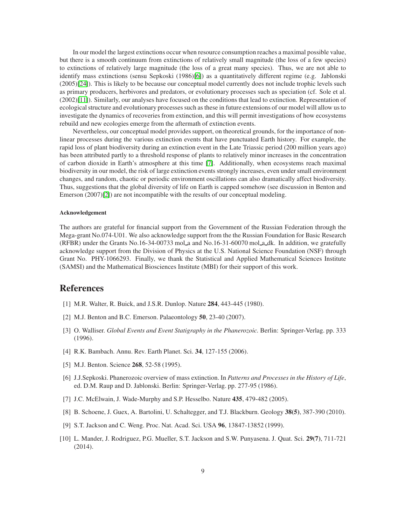In our model the largest extinctions occur when resource consumption reaches a maximal possible value, but there is a smooth continuum from extinctions of relatively small magnitude (the loss of a few species) to extinctions of relatively large magnitude (the loss of a great many species). Thus, we are not able to identify mass extinctions (sensu Sepkoski (1986)[\[6\]](#page-8-5)) as a quantitatively different regime (e.g. Jablonski (2005)[\[24\]](#page-9-13)). This is likely to be because our conceptual model currently does not include trophic levels such as primary producers, herbivores and predators, or evolutionary processes such as speciation (cf. Sole et al. (2002)[\[11\]](#page-9-0)). Similarly, our analyses have focused on the conditions that lead to extinction. Representation of ecological structure and evolutionary processes such as these in future extensions of our model will allow us to investigate the dynamics of recoveries from extinction, and this will permit investigations of how ecosystems rebuild and new ecologies emerge from the aftermath of extinction events.

Nevertheless, our conceptual model provides support, on theoretical grounds, for the importance of nonlinear processes during the various extinction events that have punctuated Earth history. For example, the rapid loss of plant biodiversity during an extinction event in the Late Triassic period (200 million years ago) has been attributed partly to a threshold response of plants to relatively minor increases in the concentration of carbon dioxide in Earth's atmosphere at this time [\[7\]](#page-8-6). Additionally, when ecosystems reach maximal biodiversity in our model, the risk of large extinction events strongly increases, even under small environment changes, and random, chaotic or periodic environment oscillations can also dramatically affect biodiversity. Thus, suggestions that the global diversity of life on Earth is capped somehow (see discussion in Benton and Emerson (2007)[\[2\]](#page-8-1)) are not incompatible with the results of our conceptual modeling.

#### Acknowledgement

The authors are grateful for financial support from the Government of the Russian Federation through the Mega-grant No.074-U01. We also acknowledge support from the the Russian Foundation for Basic Research (RFBR) under the Grants No.16-34-00733 mol a and No.16-31-60070 mol a dk. In addition, we gratefully acknowledge support from the Division of Physics at the U.S. National Science Foundation (NSF) through Grant No. PHY-1066293. Finally, we thank the Statistical and Applied Mathematical Sciences Institute (SAMSI) and the Mathematical Biosciences Institute (MBI) for their support of this work.

# <span id="page-8-0"></span>**References**

- <span id="page-8-1"></span>[1] M.R. Walter, R. Buick, and J.S.R. Dunlop. Nature 284, 443-445 (1980).
- <span id="page-8-2"></span>[2] M.J. Benton and B.C. Emerson. Palaeontology 50, 23-40 (2007).
- <span id="page-8-3"></span>[3] O. Walliser. *Global Events and Event Statigraphy in the Phanerozoic.* Berlin: Springer-Verlag. pp. 333 (1996).
- <span id="page-8-4"></span>[4] R.K. Bambach. Annu. Rev. Earth Planet. Sci. 34, 127-155 (2006).
- <span id="page-8-5"></span>[5] M.J. Benton. Science 268, 52-58 (1995).
- [6] J.J.Sepkoski. Phanerozoic overview of mass extinction. In *Patterns and Processes in the History of Life*, ed. D.M. Raup and D. Jablonski. Berlin: Springer-Verlag. pp. 277-95 (1986).
- <span id="page-8-7"></span><span id="page-8-6"></span>[7] J.C. McElwain, J. Wade-Murphy and S.P. Hesselbo. Nature 435, 479-482 (2005).
- <span id="page-8-8"></span>[8] B. Schoene, J. Guex, A. Bartolini, U. Schaltegger, and T.J. Blackburn. Geology 38(5), 387-390 (2010).
- <span id="page-8-9"></span>[9] S.T. Jackson and C. Weng. Proc. Nat. Acad. Sci. USA 96, 13847-13852 (1999).
- [10] L. Mander, J. Rodriguez, P.G. Mueller, S.T. Jackson and S.W. Punyasena. J. Quat. Sci. 29(7), 711-721 (2014).